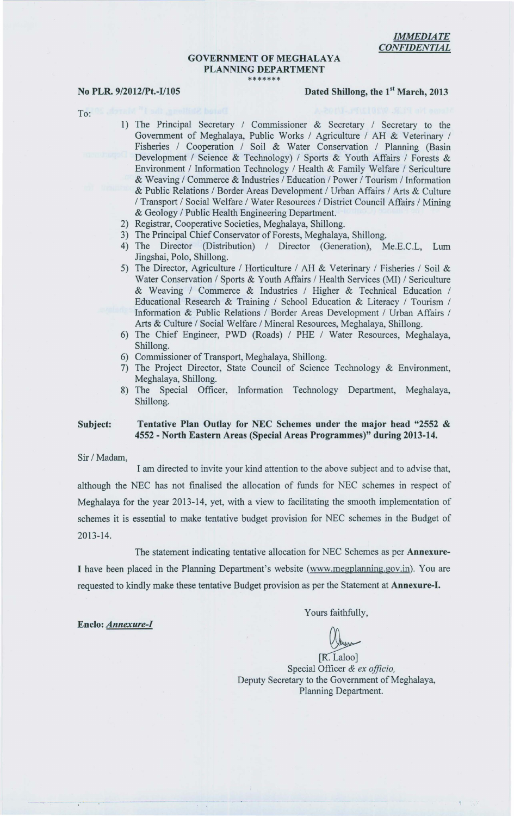#### **GOVERNMENT OF MEGHALAYA** PLANNING DEPARTMENT \*\*\*\*\*\*\*

### No PLR. 9/2012/Pt.-I/105 Dated Shillong, the 1<sup>st</sup> March, 2013

To:

- 1) The Principal Secretary / Commissioner & Secretary / Secretary to the Government of Meghalaya, Public Works / Agriculture / AH & Veterinary / Fisheries / Cooperation / Soil & Water Conservation / Planning (Basin Development / Science & Technology) / Sports & Youth Affairs / Forests & Environment / Information Technology / Health & Family Welfare / Sericulture & Weaving / Commerce & Industries / Education / Power / Tourism / Information & Public Relations / Border Areas Development / Urban Affairs / Arts & Culture / Transport / Social Welfare / Water Resources / District Council Affairs / Mining & Geology / Public Health Engineering Department.
- 2) Registrar, Cooperative Societies, Meghalaya, Shillong.
- 3) The Principal Chief Conservator of Forests, Meghalaya, Shillong.<br>4) The Director (Distribution) / Director (Generation), M
- (Distribution) / Director (Generation), Me.E.C.L, Lum Jingshai, Polo, Shillong.
- 5) The Director, Agriculture / Horticulture / AH & Veterinary / Fisheries / Soil & Water Conservation / Sports & Youth Affairs / Health Services (MI) / Sericulture & Weaving / Commerce & Industries / Higher & Technical Education / Educational Research & Training / School Education & Literacy / Tourism / Information & Public Relations / Border Areas Development / Urban Affairs / Arts & Culture / Social Welfare / Mineral Resources, Meghalaya, Shillong.
- 6) The Chief Engineer, PWD (Roads) / PHE / Water Resources, Meghalaya, Shillong.
- 6) Commissioner of Transport, Meghalaya, Shillong.
- 7) The Project Director, State Council of Science Technology & Environment, Meghalaya, Shillong.
- 8) The Special Officer, Information Technology Department, Meghalaya, Shillong.

#### Subject: Tentative Plan Outlay for NEC Schemes under the major head "2552 & 4552 - North Eastern Areas (Special Areas Programmes)" during 2013-14.

Sir / Madam,

Enclo: *Annexure-I* 

I am directed to invite your kind attention to the above subject and to advise that, although the NEC has not finalised the allocation of funds for NEC schemes in respect of Meghalaya for the year 2013-14, yet, with a view to facilitating the smooth implementation of schemes it is essential to make tentative budget provision for NEC schemes in the Budget of 2013-14.

The statement indicating tentative allocation for NEC Schemes as per Annexure-I have been placed in the Planning Department's website (www.megplanning.gov.in). You are requested to kindly make these tentative Budget provision as per the Statement at Annexure-I.

Yours faithfully,

[R. Laloo]<br>Special Officer & *ex officio*, Deputy Secretary to the Government of Meghalaya, Planning Department.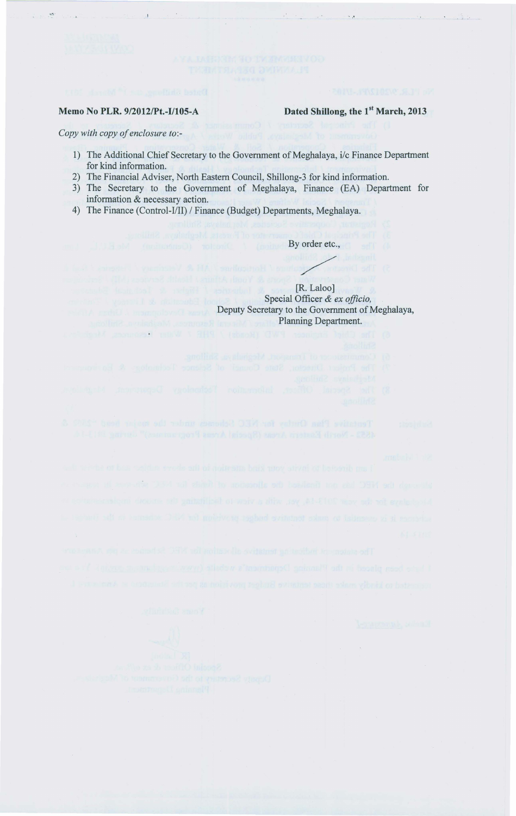#### Memo No PLR. 9/2012/Pt.-I/105-A Dated Shillong, the 1<sup>st</sup> March, 2013

Special Officer & *ex officio,*  Deputy Secretary to the Government of Meghalaya,

*Copy with copy of enclosure to:-*

1) The Additional Chief Secretary to the Government of Meghalaya, *i/c* Finance Department for kind information.

I was a second to the second the second term of the second term of the second term of the second term of the second term of the second term of the second term of the second term of the second term of the second term of the

- 2) The Financial Adviser, North Eastern Council, Shillong-3 for kind information.
- 3) The Secretary to the Government of Meghalaya, Finance (EA) Department for information & necessary action.

By order etc.,

4) The Finance (Control-I/II) / Finance (Budget) Departments, Meghalaya.

ER. Laloo]

Planning Department. S) The Chief Engineer PWD (Ronds) / PHR 7 Willy Heshunder, Meghavine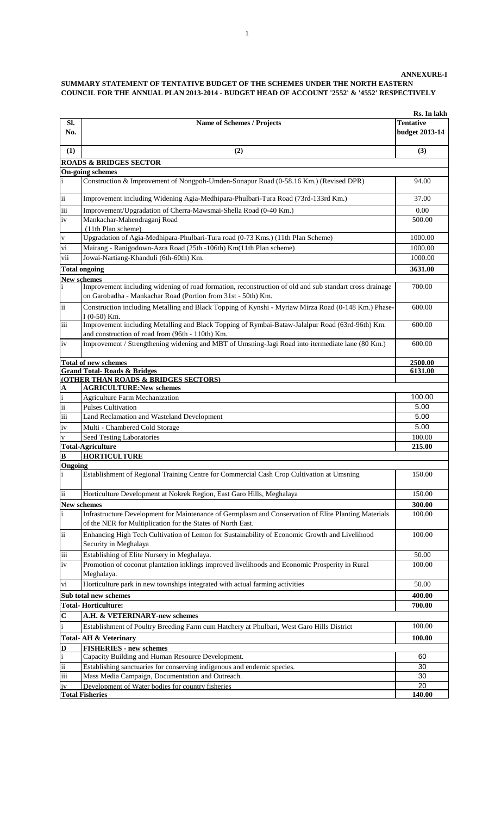|                                        |                                                                                                                                                                         | Rs. In lakh      |
|----------------------------------------|-------------------------------------------------------------------------------------------------------------------------------------------------------------------------|------------------|
| Sl.                                    | <b>Name of Schemes / Projects</b>                                                                                                                                       | <b>Tentative</b> |
| No.                                    |                                                                                                                                                                         | budget 2013-14   |
| (1)                                    | (2)                                                                                                                                                                     | (3)              |
|                                        | <b>ROADS &amp; BRIDGES SECTOR</b>                                                                                                                                       |                  |
|                                        | <b>On-going schemes</b>                                                                                                                                                 |                  |
| i                                      | Construction & Improvement of Nongpoh-Umden-Sonapur Road (0-58.16 Km.) (Revised DPR)                                                                                    | 94.00            |
| $\rm ii$                               | Improvement including Widening Agia-Medhipara-Phulbari-Tura Road (73rd-133rd Km.)                                                                                       | 37.00            |
| iii                                    | Improvement/Upgradation of Cherra-Mawsmai-Shella Road (0-40 Km.)                                                                                                        | 0.00             |
| iv                                     | Mankachar-Mahendraganj Road<br>(11th Plan scheme)                                                                                                                       | 500.00           |
| $\mathbf V$                            | Upgradation of Agia-Medhipara-Phulbari-Tura road (0-73 Kms.) (11th Plan Scheme)                                                                                         | 1000.00          |
| vi                                     | Mairang - Ranigodown-Azra Road (25th -106th) Km(11th Plan scheme)                                                                                                       | 1000.00          |
| vii                                    | Jowai-Nartiang-Khanduli (6th-60th) Km.                                                                                                                                  | 1000.00          |
|                                        | <b>Total ongoing</b>                                                                                                                                                    | 3631.00          |
|                                        | <b>New schemes</b>                                                                                                                                                      |                  |
| $\mathbf{i}$                           | Improvement including widening of road formation, reconstruction of old and sub standart cross drainage<br>on Garobadha - Mankachar Road (Portion from 31st - 50th) Km. | 700.00           |
| $\ddot{\rm ii}$                        | Construction including Metalling and Black Topping of Kynshi - Myriaw Mirza Road (0-148 Km.) Phase-<br>$I(0-50)$ Km.                                                    | 600.00           |
| iii                                    | Improvement including Metalling and Black Topping of Rymbai-Bataw-Jalalpur Road (63rd-96th) Km.<br>and construction of road from (96th - 110th) Km.                     | 600.00           |
| iv                                     | Improvement / Strengthening widening and MBT of Umsning-Jagi Road into itermediate lane (80 Km.)                                                                        | 600.00           |
|                                        | <b>Total of new schemes</b>                                                                                                                                             | 2500.00          |
|                                        | <b>Grand Total-Roads &amp; Bridges</b>                                                                                                                                  | 6131.00          |
|                                        | (OTHER THAN ROADS & BRIDGES SECTORS)                                                                                                                                    |                  |
| $\mathbf{A}$                           | <b>AGRICULTURE:New schemes</b>                                                                                                                                          |                  |
| $\mathbf{i}$<br>$\overline{\text{ii}}$ | <b>Agriculture Farm Mechanization</b>                                                                                                                                   | 100.00           |
| $\overline{\text{iii}}$                | <b>Pulses Cultivation</b>                                                                                                                                               | 5.00             |
|                                        | Land Reclamation and Wasteland Development                                                                                                                              | 5.00             |
| iv                                     | Multi - Chambered Cold Storage                                                                                                                                          | 5.00             |
| $\mathbf{V}$                           | Seed Testing Laboratories<br><b>Total-Agriculture</b>                                                                                                                   | 100.00<br>215.00 |
| B                                      | <b>HORTICULTURE</b>                                                                                                                                                     |                  |
| Ongoing                                |                                                                                                                                                                         |                  |
| i                                      | Establishment of Regional Training Centre for Commercial Cash Crop Cultivation at Umsning                                                                               | 150.00           |
| ii                                     | Horticulture Development at Nokrek Region, East Garo Hills, Meghalaya                                                                                                   | 150.00           |
|                                        | <b>New schemes</b>                                                                                                                                                      | 300.00           |
| $\mathbf{i}$                           | Infrastructure Development for Maintenance of Germplasm and Conservation of Elite Planting Materials<br>of the NER for Multiplication for the States of North East.     | 100.00           |
| $\overline{\mathbf{ii}}$               | Enhancing High Tech Cultivation of Lemon for Sustainability of Economic Growth and Livelihood<br>Security in Meghalaya                                                  | 100.00           |
| iii                                    | Establishing of Elite Nursery in Meghalaya.                                                                                                                             | 50.00            |
| iv                                     | Promotion of coconut plantation inklings improved livelihoods and Economic Prosperity in Rural<br>Meghalaya.                                                            | 100.00           |
| vi                                     | Horticulture park in new townships integrated with actual farming activities                                                                                            | 50.00            |
|                                        | Sub total new schemes                                                                                                                                                   | 400.00           |
|                                        | <b>Total-Horticulture:</b>                                                                                                                                              | 700.00           |
| $\mathbf C$                            | A.H. & VETERINARY-new schemes                                                                                                                                           |                  |
| $\mathbf{i}$                           | Establishment of Poultry Breeding Farm cum Hatchery at Phulbari, West Garo Hills District                                                                               | 100.00           |
|                                        | Total- AH & Veterinary                                                                                                                                                  | 100.00           |
| $\mathbf D$                            | <b>FISHERIES - new schemes</b>                                                                                                                                          |                  |
| $\mathbf{i}$                           | Capacity Building and Human Resource Development.                                                                                                                       | 60               |
| $\overline{\textbf{ii}}$               | Establishing sanctuaries for conserving indigenous and endemic species.                                                                                                 | 30               |
| iii                                    | Mass Media Campaign, Documentation and Outreach.                                                                                                                        | 30               |
| iv                                     | Development of Water bodies for country fisheries                                                                                                                       | 20               |
|                                        | <b>Total Fisheries</b>                                                                                                                                                  | 140.00           |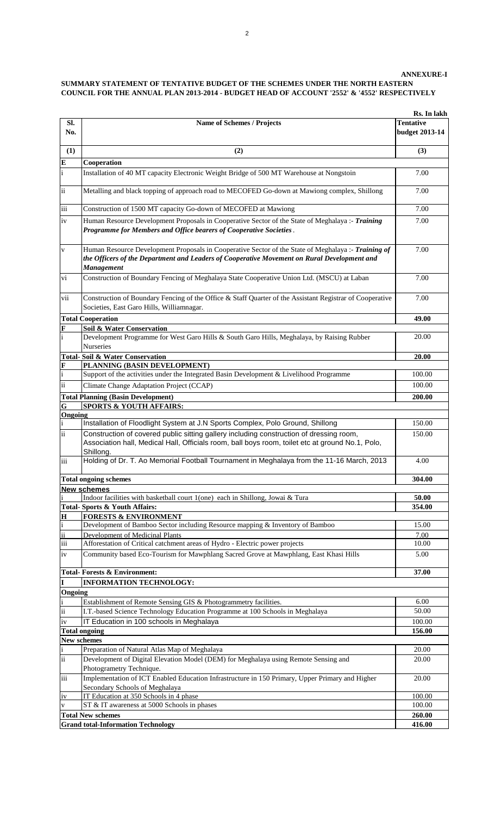# **SUMMARY STATEMENT OF TENTATIVE BUDGET OF THE SCHEMES UNDER THE NORTH EASTERN COUNCIL FOR THE ANNUAL PLAN 2013-2014 - BUDGET HEAD OF ACCOUNT '2552' & '4552' RESPECTIVELY**

2

|                     |                                                                                                                                                                                                                         | Rs. In lakh      |
|---------------------|-------------------------------------------------------------------------------------------------------------------------------------------------------------------------------------------------------------------------|------------------|
| Sl.                 | <b>Name of Schemes / Projects</b>                                                                                                                                                                                       | <b>Tentative</b> |
| No.                 |                                                                                                                                                                                                                         | budget 2013-14   |
|                     |                                                                                                                                                                                                                         |                  |
| (1)                 | (2)                                                                                                                                                                                                                     | (3)              |
| E                   | Cooperation                                                                                                                                                                                                             |                  |
| $\mathbf{i}$        | Installation of 40 MT capacity Electronic Weight Bridge of 500 MT Warehouse at Nongstoin                                                                                                                                | 7.00             |
| $\rm ii$            | Metalling and black topping of approach road to MECOFED Go-down at Mawiong complex, Shillong                                                                                                                            | 7.00             |
| iii                 | Construction of 1500 MT capacity Go-down of MECOFED at Mawiong                                                                                                                                                          | 7.00             |
| iv                  | Human Resource Development Proposals in Cooperative Sector of the State of Meghalaya :- Training<br>Programme for Members and Office bearers of Cooperative Societies.                                                  | 7.00             |
| $\mathbf{V}$        | Human Resource Development Proposals in Cooperative Sector of the State of Meghalaya :- Training of<br>the Officers of the Department and Leaders of Cooperative Movement on Rural Development and<br><b>Management</b> | 7.00             |
| vi                  | Construction of Boundary Fencing of Meghalaya State Cooperative Union Ltd. (MSCU) at Laban                                                                                                                              | 7.00             |
| vii                 | Construction of Boundary Fencing of the Office & Staff Quarter of the Assistant Registrar of Cooperative<br>Societies, East Garo Hills, Williamnagar.                                                                   | 7.00             |
|                     | <b>Total Cooperation</b>                                                                                                                                                                                                | 49.00            |
| F                   | <b>Soil &amp; Water Conservation</b>                                                                                                                                                                                    |                  |
| $\mathbf{i}$        | Development Programme for West Garo Hills & South Garo Hills, Meghalaya, by Raising Rubber<br><b>Nurseries</b>                                                                                                          | 20.00            |
|                     | <b>Total-Soil &amp; Water Conservation</b>                                                                                                                                                                              | 20.00            |
| F                   | PLANNING (BASIN DEVELOPMENT)                                                                                                                                                                                            |                  |
| i                   | Support of the activities under the Integrated Basin Development & Livelihood Programme                                                                                                                                 | 100.00           |
| $\rm ii$            | Climate Change Adaptation Project (CCAP)                                                                                                                                                                                | 100.00           |
|                     | <b>Total Planning (Basin Development)</b>                                                                                                                                                                               | 200.00           |
| $\mathbf G$         | <b>SPORTS &amp; YOUTH AFFAIRS:</b>                                                                                                                                                                                      |                  |
| Ongoing             |                                                                                                                                                                                                                         |                  |
| i                   | Installation of Floodlight System at J.N Sports Complex, Polo Ground, Shillong                                                                                                                                          | 150.00           |
| ii                  | Construction of covered public sitting gallery including construction of dressing room,<br>Association hall, Medical Hall, Officials room, ball boys room, toilet etc at ground No.1, Polo,<br>Shillong.                | 150.00           |
| iii                 | Holding of Dr. T. Ao Memorial Football Tournament in Meghalaya from the 11-16 March, 2013                                                                                                                               | 4.00             |
|                     | <b>Total ongoing schemes</b>                                                                                                                                                                                            | 304.00           |
|                     | New schemes                                                                                                                                                                                                             |                  |
| i                   | Indoor facilities with basketball court 1(one) each in Shillong, Jowai & Tura                                                                                                                                           | 50.00            |
|                     | Total-Sports & Youth Affairs:                                                                                                                                                                                           | 354.00           |
| $\mathbf H$         | <b>FORESTS &amp; ENVIRONMENT</b>                                                                                                                                                                                        |                  |
| $\mathbf{i}$        | Development of Bamboo Sector including Resource mapping & Inventory of Bamboo                                                                                                                                           | 15.00            |
| $\ddot{\mathbf{i}}$ | <b>Development of Medicinal Plants</b>                                                                                                                                                                                  | 7.00             |
| iii                 | Afforestation of Critical catchment areas of Hydro - Electric power projects                                                                                                                                            | 10.00            |
| iv                  | Community based Eco-Tourism for Mawphlang Sacred Grove at Mawphlang, East Khasi Hills                                                                                                                                   | 5.00             |
|                     | <b>Total-Forests &amp; Environment:</b>                                                                                                                                                                                 | 37.00            |
| I                   | <b>INFORMATION TECHNOLOGY:</b>                                                                                                                                                                                          |                  |
| Ongoing             |                                                                                                                                                                                                                         |                  |
| i<br>$\rm ii$       | Establishment of Remote Sensing GIS & Photogrammetry facilities.                                                                                                                                                        | 6.00             |
|                     | I.T.-based Science Technology Education Programme at 100 Schools in Meghalaya                                                                                                                                           | 50.00            |
| iv                  | IT Education in 100 schools in Meghalaya                                                                                                                                                                                | 100.00           |
| New schemes         | <b>Total ongoing</b>                                                                                                                                                                                                    | 156.00           |
| $\mathbf i$         | Preparation of Natural Atlas Map of Meghalaya                                                                                                                                                                           | 20.00            |
| $\ddot{\mathbf{i}}$ | Development of Digital Elevation Model (DEM) for Meghalaya using Remote Sensing and                                                                                                                                     | 20.00            |
|                     | Photogrametry Technique.                                                                                                                                                                                                |                  |
| iii                 | Implementation of ICT Enabled Education Infrastructure in 150 Primary, Upper Primary and Higher<br>Secondary Schools of Meghalaya                                                                                       | 20.00            |
| iv                  | IT Education at 350 Schools in 4 phase                                                                                                                                                                                  | 100.00           |
| $\mathbf{V}$        | ST & IT awareness at 5000 Schools in phases                                                                                                                                                                             | 100.00           |
|                     | <b>Total New schemes</b>                                                                                                                                                                                                | 260.00           |
|                     | <b>Grand total-Information Technology</b>                                                                                                                                                                               | 416.00           |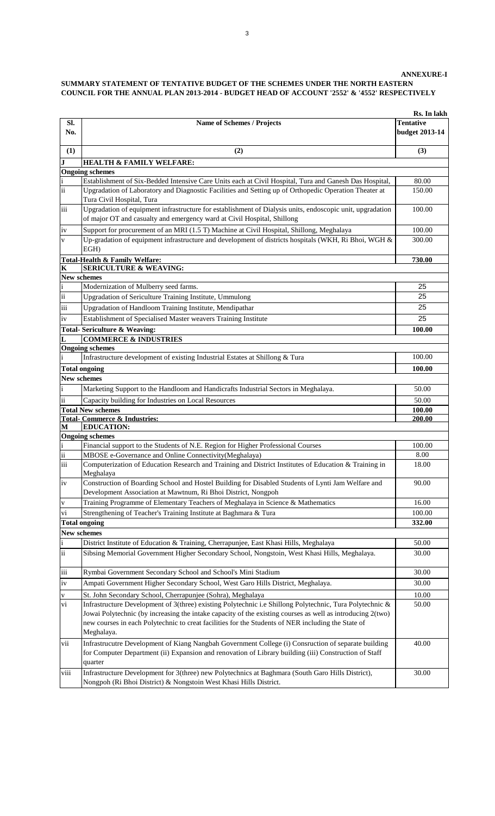|  | Rs. In lakh |
|--|-------------|
|  |             |

| Sl.<br>No.               | <b>Name of Schemes / Projects</b>                                                                                                                                                                                                                                                                                                          | Tentative<br>budget 2013-14 |
|--------------------------|--------------------------------------------------------------------------------------------------------------------------------------------------------------------------------------------------------------------------------------------------------------------------------------------------------------------------------------------|-----------------------------|
| (1)                      | (2)                                                                                                                                                                                                                                                                                                                                        | (3)                         |
| $\mathbf J$              | <b>HEALTH &amp; FAMILY WELFARE:</b>                                                                                                                                                                                                                                                                                                        |                             |
|                          | <b>Ongoing schemes</b>                                                                                                                                                                                                                                                                                                                     |                             |
|                          | Establishment of Six-Bedded Intensive Care Units each at Civil Hospital, Tura and Ganesh Das Hospital,                                                                                                                                                                                                                                     | 80.00                       |
| ii                       | Upgradation of Laboratory and Diagnostic Facilities and Setting up of Orthopedic Operation Theater at<br>Tura Civil Hospital, Tura                                                                                                                                                                                                         | 150.00                      |
| iii                      | Upgradation of equipment infrastructure for establishment of Dialysis units, endoscopic unit, upgradation<br>of major OT and casualty and emergency ward at Civil Hospital, Shillong                                                                                                                                                       | 100.00                      |
| iv                       | Support for procurement of an MRI (1.5 T) Machine at Civil Hospital, Shillong, Meghalaya                                                                                                                                                                                                                                                   | 100.00                      |
| $\mathbf{V}$             | Up-gradation of equipment infrastructure and development of districts hospitals (WKH, Ri Bhoi, WGH &<br>EGH)                                                                                                                                                                                                                               | 300.00                      |
|                          | <b>Total-Health &amp; Family Welfare:</b>                                                                                                                                                                                                                                                                                                  | 730.00                      |
| $\mathbf K$              | <b>SERICULTURE &amp; WEAVING:</b>                                                                                                                                                                                                                                                                                                          |                             |
| New schemes              |                                                                                                                                                                                                                                                                                                                                            |                             |
| $\mathbf{i}$             | Modernization of Mulberry seed farms.                                                                                                                                                                                                                                                                                                      | 25                          |
| $\dddot{\mathbf{i}}$     | Upgradation of Sericulture Training Institute, Ummulong                                                                                                                                                                                                                                                                                    | 25                          |
| $\overline{iii}$         | Upgradation of Handloom Training Institute, Mendipathar                                                                                                                                                                                                                                                                                    | 25                          |
| iv                       | Establishment of Specialised Master weavers Training Institute                                                                                                                                                                                                                                                                             | 25                          |
|                          | <b>Total-Sericulture &amp; Weaving:</b>                                                                                                                                                                                                                                                                                                    | 100.00                      |
| L                        | <b>COMMERCE &amp; INDUSTRIES</b>                                                                                                                                                                                                                                                                                                           |                             |
|                          | <b>Ongoing schemes</b>                                                                                                                                                                                                                                                                                                                     |                             |
|                          | Infrastructure development of existing Industrial Estates at Shillong & Tura                                                                                                                                                                                                                                                               | 100.00                      |
|                          | <b>Total ongoing</b>                                                                                                                                                                                                                                                                                                                       | 100.00                      |
|                          | <b>New schemes</b>                                                                                                                                                                                                                                                                                                                         |                             |
|                          | Marketing Support to the Handloom and Handicrafts Industrial Sectors in Meghalaya.                                                                                                                                                                                                                                                         | 50.00                       |
| ii                       | Capacity building for Industries on Local Resources                                                                                                                                                                                                                                                                                        | 50.00                       |
|                          | <b>Total New schemes</b>                                                                                                                                                                                                                                                                                                                   | 100.00                      |
|                          | <b>Total- Commerce &amp; Industries:</b>                                                                                                                                                                                                                                                                                                   | 200.00                      |
| М                        | <b>EDUCATION:</b><br><b>Ongoing schemes</b>                                                                                                                                                                                                                                                                                                |                             |
| i                        | Financial support to the Students of N.E. Region for Higher Professional Courses                                                                                                                                                                                                                                                           | 100.00                      |
| $\rm ii$                 | MBOSE e-Governance and Online Connectivity(Meghalaya)                                                                                                                                                                                                                                                                                      | 8.00                        |
| $\overline{\text{iii}}$  | Computerization of Education Research and Training and District Institutes of Education & Training in<br>Meghalaya                                                                                                                                                                                                                         | 18.00                       |
| $iv$                     | Construction of Boarding School and Hostel Building for Disabled Students of Lynti Jam Welfare and<br>Development Association at Mawtnum, Ri Bhoi District, Nongpoh                                                                                                                                                                        | 90.00                       |
| $\mathbf V$              | Training Programme of Elementary Teachers of Meghalaya in Science & Mathematics                                                                                                                                                                                                                                                            | 16.00                       |
| $\overline{\mathbf{vi}}$ | Strengthening of Teacher's Training Institute at Baghmara & Tura                                                                                                                                                                                                                                                                           | 100.00                      |
|                          | <b>Total ongoing</b>                                                                                                                                                                                                                                                                                                                       | 332.00                      |
|                          | New schemes                                                                                                                                                                                                                                                                                                                                |                             |
| $\mathbf{i}$             | District Institute of Education & Training, Cherrapunjee, East Khasi Hills, Meghalaya                                                                                                                                                                                                                                                      | 50.00                       |
| $\ddot{\rm ii}$          | Sibsing Memorial Government Higher Secondary School, Nongstoin, West Khasi Hills, Meghalaya.                                                                                                                                                                                                                                               | 30.00                       |
| iii                      | Rymbai Government Secondary School and School's Mini Stadium                                                                                                                                                                                                                                                                               | 30.00                       |
| iv                       | Ampati Government Higher Secondary School, West Garo Hills District, Meghalaya.                                                                                                                                                                                                                                                            | 30.00                       |
| $\mathbf V$              | St. John Secondary School, Cherrapunjee (Sohra), Meghalaya                                                                                                                                                                                                                                                                                 | 10.00                       |
| vi                       | Infrastructure Development of 3(three) existing Polytechnic i.e Shillong Polytechnic, Tura Polytechnic &<br>Jowai Polytechnic (by increasing the intake capacity of the existing courses as well as introducing 2(two)<br>new courses in each Polytechnic to creat facilities for the Students of NER including the State of<br>Meghalaya. | 50.00                       |
| vii                      | Infrastrucutre Development of Kiang Nangbah Government College (i) Consruction of separate building<br>for Computer Department (ii) Expansion and renovation of Library building (iii) Construction of Staff<br>quarter                                                                                                                    | 40.00                       |
| viii                     | Infrastructure Development for 3(three) new Polytechnics at Baghmara (South Garo Hills District),<br>Nongpoh (Ri Bhoi District) & Nongstoin West Khasi Hills District.                                                                                                                                                                     | 30.00                       |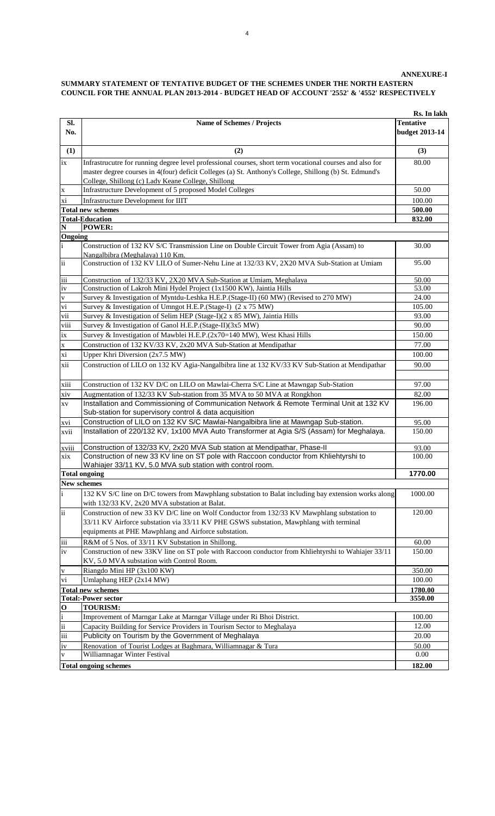|                          |                                                                                                                                                                                                                                                                          | Rs. In lakh                               |
|--------------------------|--------------------------------------------------------------------------------------------------------------------------------------------------------------------------------------------------------------------------------------------------------------------------|-------------------------------------------|
| SI.<br>No.               | Name of Schemes / Projects                                                                                                                                                                                                                                               | <b>Tentative</b><br><b>budget 2013-14</b> |
| (1)                      | (2)                                                                                                                                                                                                                                                                      | (3)                                       |
| ix                       | Infrastrucutre for running degree level professional courses, short term vocational courses and also for<br>master degree courses in 4(four) deficit Colleges (a) St. Anthony's College, Shillong (b) St. Edmund's<br>College, Shillong (c) Lady Keane College, Shillong | 80.00                                     |
| $\mathbf X$              | Infrastructure Development of 5 proposed Model Colleges                                                                                                                                                                                                                  | 50.00                                     |
| xi                       | Infrastructure Development for IIIT                                                                                                                                                                                                                                      | 100.00                                    |
|                          | <b>Total new schemes</b>                                                                                                                                                                                                                                                 | 500.00                                    |
|                          | <b>Total-Education</b>                                                                                                                                                                                                                                                   | 832.00                                    |
| $\mathbf N$              | <b>POWER:</b>                                                                                                                                                                                                                                                            |                                           |
| Ongoing<br>$\mathbf{i}$  | Construction of 132 KV S/C Transmission Line on Double Circuit Tower from Agia (Assam) to<br>Nangalbibra (Meghalaya) 110 Km.                                                                                                                                             | 30.00                                     |
| ii                       | Construction of 132 KV LILO of Sumer-Nehu Line at 132/33 KV, 2X20 MVA Sub-Station at Umiam                                                                                                                                                                               | 95.00                                     |
| iii                      | Construction of 132/33 KV, 2X20 MVA Sub-Station at Umiam, Meghalaya                                                                                                                                                                                                      | 50.00                                     |
| iv                       | Construction of Lakroh Mini Hydel Project (1x1500 KW), Jaintia Hills                                                                                                                                                                                                     | 53.00                                     |
| $\mathbf{V}$             | Survey & Investigation of Myntdu-Leshka H.E.P.(Stage-II) (60 MW) (Revised to 270 MW)                                                                                                                                                                                     | 24.00                                     |
| vi                       | Survey & Investigation of Umngot H.E.P.(Stage-I) (2 x 75 MW)                                                                                                                                                                                                             | 105.00                                    |
| vii                      | Survey & Investigation of Selim HEP (Stage-I)(2 x 85 MW), Jaintia Hills                                                                                                                                                                                                  | 93.00                                     |
| viii                     | Survey & Investigation of Ganol H.E.P.(Stage-II)(3x5 MW)                                                                                                                                                                                                                 | 90.00                                     |
| ix                       | Survey & Investigation of Mawblei H.E.P.(2x70=140 MW), West Khasi Hills<br>Construction of 132 KV/33 KV, 2x20 MVA Sub-Station at Mendipathar                                                                                                                             | 150.00                                    |
| $\mathbf X$<br>xi        | Upper Khri Diversion (2x7.5 MW)                                                                                                                                                                                                                                          | 77.00<br>100.00                           |
| xii                      | Construction of LILO on 132 KV Agia-Nangalbibra line at 132 KV/33 KV Sub-Station at Mendipathar                                                                                                                                                                          | 90.00                                     |
| xiii                     | Construction of 132 KV D/C on LILO on Mawlai-Cherra S/C Line at Mawngap Sub-Station                                                                                                                                                                                      | 97.00                                     |
| xiv                      | Augmentation of 132/33 KV Sub-station from 35 MVA to 50 MVA at Rongkhon                                                                                                                                                                                                  | 82.00                                     |
| $\mathbf{X}\mathbf{V}$   | Installation and Commissioning of Communication Network & Remote Terminal Unit at 132 KV<br>Sub-station for supervisory control & data acquisition                                                                                                                       | 196.00                                    |
| xvi                      | Construction of LILO on 132 KV S/C Mawlai-Nangalbibra line at Mawngap Sub-station.                                                                                                                                                                                       | 95.00                                     |
| xvii                     | Installation of 220/132 KV, 1x100 MVA Auto Transformer at Agia S/S (Assam) for Meghalaya.                                                                                                                                                                                | 150.00                                    |
| xviii                    | Construction of 132/33 KV, 2x20 MVA Sub station at Mendipathar, Phase-II                                                                                                                                                                                                 | 93.00                                     |
| xix                      | Construction of new 33 KV line on ST pole with Raccoon conductor from Khliehtyrshi to<br>Wahiajer 33/11 KV, 5.0 MVA sub station with control room.                                                                                                                       | 100.00                                    |
|                          | <b>Total ongoing</b>                                                                                                                                                                                                                                                     | 1770.00                                   |
| $\mathbf{i}$             | <b>New schemes</b><br>132 KV S/C line on D/C towers from Mawphlang substation to Balat including bay extension works along<br>with 132/33 KV, 2x20 MVA substation at Balat.                                                                                              | 1000.00                                   |
| $\overline{\mathbf{ii}}$ | Construction of new 33 KV D/C line on Wolf Conductor from 132/33 KV Mawphlang substation to<br>33/11 KV Airforce substation via 33/11 KV PHE GSWS substation, Mawphlang with terminal<br>equipments at PHE Mawphlang and Airforce substation.                            | 120.00                                    |
| iii                      | R&M of 5 Nos. of 33/11 KV Substation in Shillong.                                                                                                                                                                                                                        | 60.00                                     |
| iv                       | Construction of new 33KV line on ST pole with Raccoon conductor from Khliehtyrshi to Wahiajer 33/11<br>KV, 5.0 MVA substation with Control Room.                                                                                                                         | 150.00                                    |
| $\mathbf{V}$             | Riangdo Mini HP (3x100 KW)                                                                                                                                                                                                                                               | 350.00                                    |
| ${\bf vi}$               | Umlaphang HEP (2x14 MW)                                                                                                                                                                                                                                                  | 100.00                                    |
|                          | <b>Total new schemes</b>                                                                                                                                                                                                                                                 | 1780.00                                   |
| $\mathbf{o}$             | <b>Total:-Power sector</b><br><b>TOURISM:</b>                                                                                                                                                                                                                            | 3550.00                                   |
| $\mathbf{i}$             | Improvement of Marngar Lake at Marngar Village under Ri Bhoi District.                                                                                                                                                                                                   | 100.00                                    |
| $\ddot{\mathbf{i}}$      | Capacity Building for Service Providers in Tourism Sector to Meghalaya                                                                                                                                                                                                   | 12.00                                     |
| iii                      | Publicity on Tourism by the Government of Meghalaya                                                                                                                                                                                                                      | 20.00                                     |
| iv                       | Renovation of Tourist Lodges at Baghmara, Williamnagar & Tura                                                                                                                                                                                                            | 50.00                                     |
| $\mathbf{V}$             | Williamnagar Winter Festival                                                                                                                                                                                                                                             | 0.00                                      |
|                          | <b>Total ongoing schemes</b>                                                                                                                                                                                                                                             | 182.00                                    |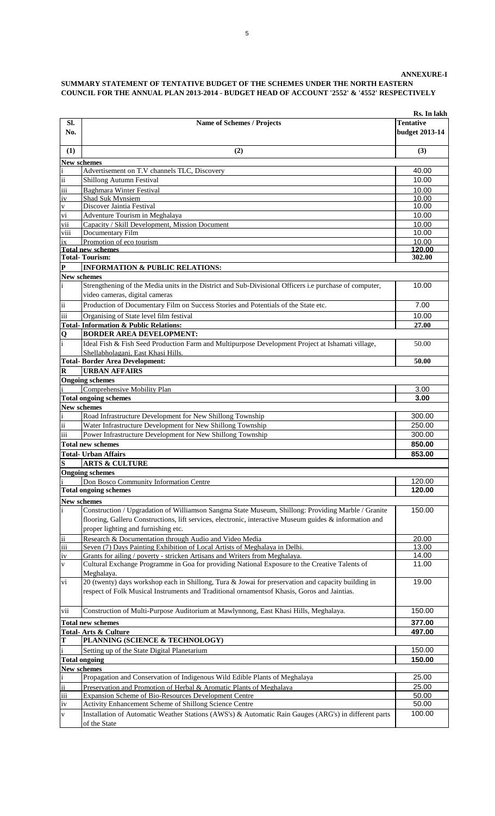|                                    |                                                                                                                                                                                                   | Rs. In lakh                               |
|------------------------------------|---------------------------------------------------------------------------------------------------------------------------------------------------------------------------------------------------|-------------------------------------------|
| SI.<br>No.                         | <b>Name of Schemes / Projects</b>                                                                                                                                                                 | <b>Tentative</b><br><b>budget 2013-14</b> |
| (1)                                | (2)                                                                                                                                                                                               | (3)                                       |
| <b>New schemes</b>                 |                                                                                                                                                                                                   |                                           |
| $\frac{i}{ii}$                     | Advertisement on T.V channels TLC, Discovery                                                                                                                                                      | 40.00                                     |
| $\overline{\text{iii}}$            | <b>Shillong Autumn Festival</b><br><b>Baghmara Winter Festival</b>                                                                                                                                | 10.00<br>10.00                            |
| iv                                 | <b>Shad Suk Mynsiem</b>                                                                                                                                                                           | 10.00                                     |
| $\frac{v}{vi}$                     | Discover Jaintia Festival                                                                                                                                                                         | 10.00                                     |
|                                    | Adventure Tourism in Meghalaya                                                                                                                                                                    | 10.00                                     |
| vii<br>viii                        | Capacity / Skill Development, Mission Document<br>Documentary Film                                                                                                                                | 10.00<br>10.00                            |
| ix                                 | Promotion of eco tourism                                                                                                                                                                          | 10.00                                     |
|                                    | <b>Total new schemes</b>                                                                                                                                                                          | 120.00                                    |
| $\overline{\mathbf{P}}$            | <b>Total-Tourism:</b>                                                                                                                                                                             | 302.00                                    |
| New schemes                        | <b>INFORMATION &amp; PUBLIC RELATIONS:</b>                                                                                                                                                        |                                           |
| $\mathbf{i}$                       | Strengthening of the Media units in the District and Sub-Divisional Officers i.e purchase of computer,<br>video cameras, digital cameras                                                          | 10.00                                     |
| $\dddot{\mathbf{i}}$               | Production of Documentary Film on Success Stories and Potentials of the State etc.                                                                                                                | 7.00                                      |
| iii                                | Organising of State level film festival                                                                                                                                                           | 10.00                                     |
|                                    | <b>Total-Information &amp; Public Relations:</b>                                                                                                                                                  | 27.00                                     |
| $\frac{Q}{i}$                      | <b>BORDER AREA DEVELOPMENT:</b>                                                                                                                                                                   |                                           |
|                                    | Ideal Fish & Fish Seed Production Farm and Multipurpose Development Project at Ishamati village,<br>Shellabholaganj, East Khasi Hills.                                                            | 50.00                                     |
|                                    | <b>Total-Border Area Development:</b>                                                                                                                                                             | 50.00                                     |
| $\overline{\mathbf{R}}$            | <b>URBAN AFFAIRS</b>                                                                                                                                                                              |                                           |
|                                    | <b>Ongoing schemes</b><br>Comprehensive Mobility Plan                                                                                                                                             | 3.00                                      |
|                                    | <b>Total ongoing schemes</b>                                                                                                                                                                      | 3.00                                      |
| <b>New schemes</b>                 |                                                                                                                                                                                                   |                                           |
| $\mathbf{i}$                       | Road Infrastructure Development for New Shillong Township                                                                                                                                         | 300.00                                    |
| $\ddot{\mathbf{u}}$                | Water Infrastructure Development for New Shillong Township                                                                                                                                        | 250.00                                    |
| iii                                | Power Infrastructure Development for New Shillong Township<br><b>Total new schemes</b>                                                                                                            | 300.00<br>850.00                          |
|                                    | <b>Total- Urban Affairs</b>                                                                                                                                                                       | 853.00                                    |
| $\frac{S}{\Omega}$                 | <b>ARTS &amp; CULTURE</b>                                                                                                                                                                         |                                           |
|                                    | <b>Ongoing schemes</b>                                                                                                                                                                            |                                           |
|                                    | Don Bosco Community Information Centre                                                                                                                                                            | 120.00                                    |
|                                    | <b>Total ongoing schemes</b>                                                                                                                                                                      | 120.00                                    |
| <b>New schemes</b><br>$\mathbf{i}$ | Construction / Upgradation of Williamson Sangma State Museum, Shillong: Providing Marble / Granite                                                                                                | 150.00                                    |
|                                    | flooring, Galleru Constructions, lift services, electronic, interactive Museum guides & information and                                                                                           |                                           |
|                                    | proper lighting and furnishing etc.                                                                                                                                                               |                                           |
| $\frac{ii}{iii}$                   | Research & Documentation through Audio and Video Media                                                                                                                                            | 20.00                                     |
|                                    | Seven (7) Days Painting Exhibition of Local Artists of Meghalaya in Delhi.                                                                                                                        | 13.00                                     |
| iv<br>$\overline{\mathbf{v}}$      | Grants for ailing / poverty - stricken Artisans and Writers from Meghalaya.<br>Cultural Exchange Programme in Goa for providing National Exposure to the Creative Talents of                      | 14.00<br>11.00                            |
|                                    | Meghalava.                                                                                                                                                                                        |                                           |
| vi                                 | 20 (twenty) days workshop each in Shillong, Tura & Jowai for preservation and capacity building in<br>respect of Folk Musical Instruments and Traditional ornamentsof Khasis, Goros and Jaintias. | 19.00                                     |
| vii                                | Construction of Multi-Purpose Auditorium at Mawlynnong, East Khasi Hills, Meghalaya.                                                                                                              | 150.00                                    |
|                                    | <b>Total new schemes</b>                                                                                                                                                                          | 377.00                                    |
|                                    | <b>Total-Arts &amp; Culture</b>                                                                                                                                                                   | 497.00                                    |
| T<br>$\mathbf{i}$                  | PLANNING (SCIENCE & TECHNOLOGY)                                                                                                                                                                   | 150.00                                    |
|                                    | Setting up of the State Digital Planetarium<br><b>Total ongoing</b>                                                                                                                               | 150.00                                    |
| New schemes                        |                                                                                                                                                                                                   |                                           |
| $\mathbf{i}$                       | Propagation and Conservation of Indigenous Wild Edible Plants of Meghalaya                                                                                                                        | 25.00                                     |
| $\ddot{\mathbf{u}}$                | Preservation and Promotion of Herbal & Aromatic Plants of Meghalaya                                                                                                                               | 25.00                                     |
| iii<br>iv                          | <b>Expansion Scheme of Bio-Resources Development Centre</b><br>Activity Enhancement Scheme of Shillong Science Centre                                                                             | 50.00<br>50.00                            |
| $\mathbf{V}$                       | Installation of Automatic Weather Stations (AWS's) & Automatic Rain Gauges (ARG's) in different parts                                                                                             | 100.00                                    |
|                                    | of the State                                                                                                                                                                                      |                                           |